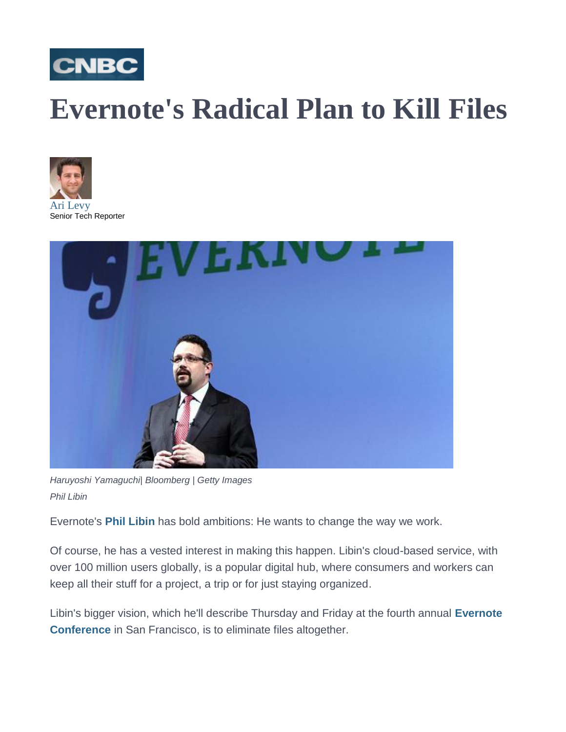

## **Evernote's Radical Plan to Kill Files**





*Haruyoshi Yamaguchi| Bloomberg | Getty Images Phil Libin*

Evernote's **[Phil Libin](https://www.linkedin.com/in/plibin)** has bold ambitions: He wants to change the way we work.

Of course, he has a vested interest in making this happen. Libin's cloud-based service, with over 100 million users globally, is a popular digital hub, where consumers and workers can keep all their stuff for a project, a trip or for just staying organized.

Libin's bigger vision, which he'll describe Thursday and Friday at the fourth annual **[Evernote](https://evernote.com/ec/)  [Conference](https://evernote.com/ec/)** in San Francisco, is to eliminate files altogether.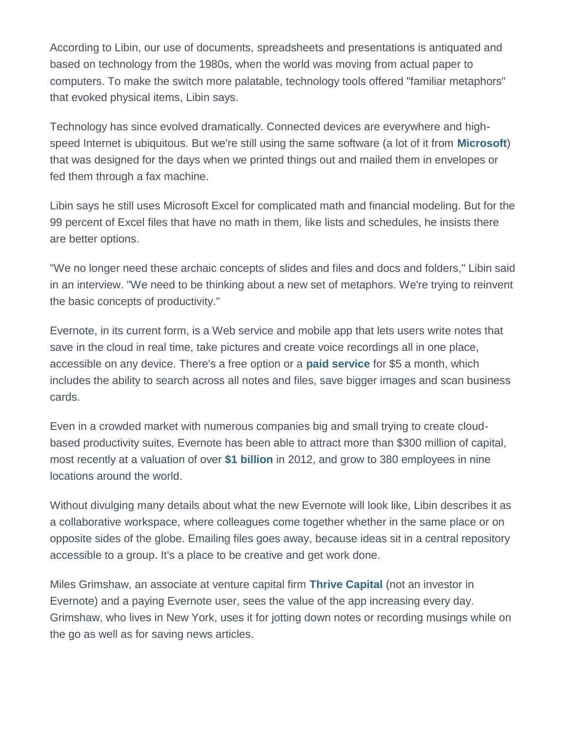According to Libin, our use of documents, spreadsheets and presentations is antiquated and based on technology from the 1980s, when the world was moving from actual paper to computers. To make the switch more palatable, technology tools offered "familiar metaphors" that evoked physical items, Libin says.

Technology has since evolved dramatically. Connected devices are everywhere and highspeed Internet is ubiquitous. But we're still using the same software (a lot of it from **[Microsoft](http://data.cnbc.com/quotes/MSFT)**) that was designed for the days when we printed things out and mailed them in envelopes or fed them through a fax machine.

Libin says he still uses Microsoft Excel for complicated math and financial modeling. But for the 99 percent of Excel files that have no math in them, like lists and schedules, he insists there are better options.

"We no longer need these archaic concepts of slides and files and docs and folders," Libin said in an interview. "We need to be thinking about a new set of metaphors. We're trying to reinvent the basic concepts of productivity."

Evernote, in its current form, is a Web service and mobile app that lets users write notes that save in the cloud in real time, take pictures and create voice recordings all in one place, accessible on any device. There's a free option or a **[paid service](https://www.evernote.com/Checkout.action?_sourcePage=yGt4jBOBL1TiMUD9T65RG_YvRLZ-1eYO3fqfqRu0fynRL_1nukNa4gH1t86pc1SP&offer=accountSummaryUpgradeAccountType)** for \$5 a month, which includes the ability to search across all notes and files, save bigger images and scan business cards.

Even in a crowded market with numerous companies big and small trying to create cloudbased productivity suites, Evernote has been able to attract more than \$300 million of capital, most recently at a valuation of over **[\\$1 billion](http://www.inc.com/magazine/201211/phil-libin/is-evernote-worth-more-than-the-new-york-times.html)** in 2012, and grow to 380 employees in nine locations around the world.

Without divulging many details about what the new Evernote will look like, Libin describes it as a collaborative workspace, where colleagues come together whether in the same place or on opposite sides of the globe. Emailing files goes away, because ideas sit in a central repository accessible to a group. It's a place to be creative and get work done.

Miles Grimshaw, an associate at venture capital firm **[Thrive Capital](http://www.thrivecap.com/)** (not an investor in Evernote) and a paying Evernote user, sees the value of the app increasing every day. Grimshaw, who lives in New York, uses it for jotting down notes or recording musings while on the go as well as for saving news articles.